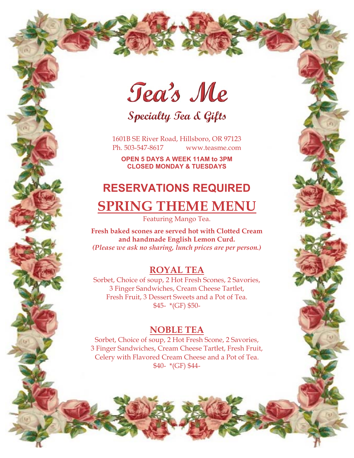Tea's Me

Specialty Tea & Gifts

1601B SE River Road, Hillsboro, OR 97123 Ph. 503-547-8617 www.teasme.com

**OPEN 5 DAYS A WEEK 11AM to 3PM CLOSED MONDAY & TUESDAYS** 

# **RESERVATIONS REQUIRED SPRING THEME MENU**

Featuring Mango Tea.

**Fresh baked scones are served hot with Clotted Cream and handmade English Lemon Curd.**  *(Please we ask no sharing, lunch prices are per person.)* 

### **ROYAL TEA**

Sorbet, Choice of soup, 2 Hot Fresh Scones, 2 Savories, 3 Finger Sandwiches, Cream Cheese Tartlet, Fresh Fruit, 3 Dessert Sweets and a Pot of Tea. \$45- \*(GF) \$50-

#### **NOBLE TEA**

Sorbet, Choice of soup, 2 Hot Fresh Scone, 2 Savories, 3 Finger Sandwiches, Cream Cheese Tartlet, Fresh Fruit, Celery with Flavored Cream Cheese and a Pot of Tea. \$40- \*(GF) \$44-